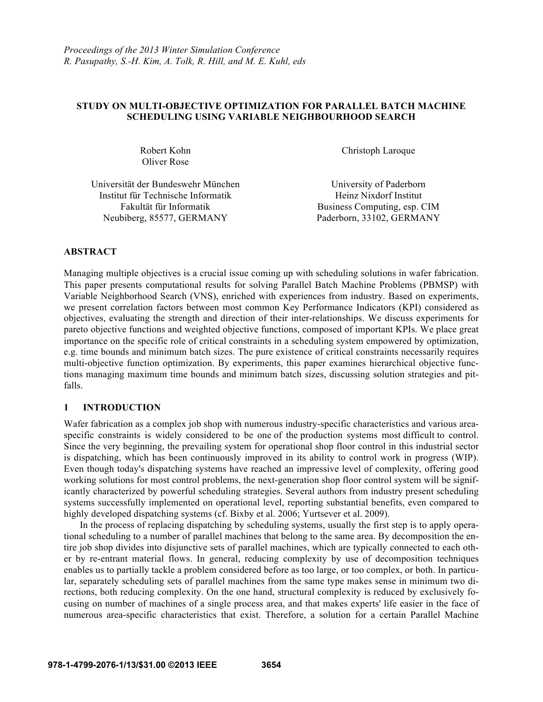# **STUDY ON MULTI-OBJECTIVE OPTIMIZATION FOR PARALLEL BATCH MACHINE SCHEDULING USING VARIABLE NEIGHBOURHOOD SEARCH**

Robert Kohn Oliver Rose

Christoph Laroque

Universität der Bundeswehr München Institut für Technische Informatik Fakultät für Informatik Neubiberg, 85577, GERMANY

University of Paderborn Heinz Nixdorf Institut Business Computing, esp. CIM Paderborn, 33102, GERMANY

# **ABSTRACT**

Managing multiple objectives is a crucial issue coming up with scheduling solutions in wafer fabrication. This paper presents computational results for solving Parallel Batch Machine Problems (PBMSP) with Variable Neighborhood Search (VNS), enriched with experiences from industry. Based on experiments, we present correlation factors between most common Key Performance Indicators (KPI) considered as objectives, evaluating the strength and direction of their inter-relationships. We discuss experiments for pareto objective functions and weighted objective functions, composed of important KPIs. We place great importance on the specific role of critical constraints in a scheduling system empowered by optimization, e.g. time bounds and minimum batch sizes. The pure existence of critical constraints necessarily requires multi-objective function optimization. By experiments, this paper examines hierarchical objective functions managing maximum time bounds and minimum batch sizes, discussing solution strategies and pitfalls.

# **1 INTRODUCTION**

Wafer fabrication as a complex job shop with numerous industry-specific characteristics and various areaspecific constraints is widely considered to be one of the production systems most difficult to control. Since the very beginning, the prevailing system for operational shop floor control in this industrial sector is dispatching, which has been continuously improved in its ability to control work in progress (WIP). Even though today's dispatching systems have reached an impressive level of complexity, offering good working solutions for most control problems, the next-generation shop floor control system will be significantly characterized by powerful scheduling strategies. Several authors from industry present scheduling systems successfully implemented on operational level, reporting substantial benefits, even compared to highly developed dispatching systems (cf. Bixby et al. 2006; Yurtsever et al. 2009).

In the process of replacing dispatching by scheduling systems, usually the first step is to apply operational scheduling to a number of parallel machines that belong to the same area. By decomposition the entire job shop divides into disjunctive sets of parallel machines, which are typically connected to each other by re-entrant material flows. In general, reducing complexity by use of decomposition techniques enables us to partially tackle a problem considered before as too large, or too complex, or both. In particular, separately scheduling sets of parallel machines from the same type makes sense in minimum two directions, both reducing complexity. On the one hand, structural complexity is reduced by exclusively focusing on number of machines of a single process area, and that makes experts' life easier in the face of numerous area-specific characteristics that exist. Therefore, a solution for a certain Parallel Machine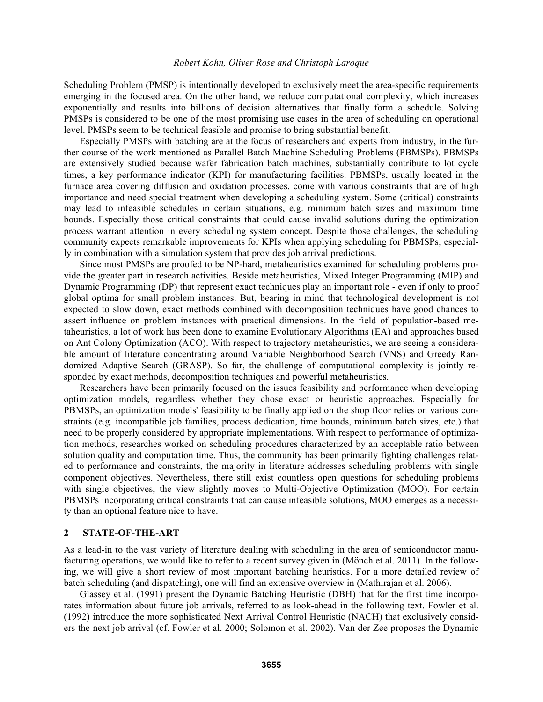Scheduling Problem (PMSP) is intentionally developed to exclusively meet the area-specific requirements emerging in the focused area. On the other hand, we reduce computational complexity, which increases exponentially and results into billions of decision alternatives that finally form a schedule. Solving PMSPs is considered to be one of the most promising use cases in the area of scheduling on operational level. PMSPs seem to be technical feasible and promise to bring substantial benefit.

Especially PMSPs with batching are at the focus of researchers and experts from industry, in the further course of the work mentioned as Parallel Batch Machine Scheduling Problems (PBMSPs). PBMSPs are extensively studied because wafer fabrication batch machines, substantially contribute to lot cycle times, a key performance indicator (KPI) for manufacturing facilities. PBMSPs, usually located in the furnace area covering diffusion and oxidation processes, come with various constraints that are of high importance and need special treatment when developing a scheduling system. Some (critical) constraints may lead to infeasible schedules in certain situations, e.g. minimum batch sizes and maximum time bounds. Especially those critical constraints that could cause invalid solutions during the optimization process warrant attention in every scheduling system concept. Despite those challenges, the scheduling community expects remarkable improvements for KPIs when applying scheduling for PBMSPs; especially in combination with a simulation system that provides job arrival predictions.

Since most PMSPs are proofed to be NP-hard, metaheuristics examined for scheduling problems provide the greater part in research activities. Beside metaheuristics, Mixed Integer Programming (MIP) and Dynamic Programming (DP) that represent exact techniques play an important role - even if only to proof global optima for small problem instances. But, bearing in mind that technological development is not expected to slow down, exact methods combined with decomposition techniques have good chances to assert influence on problem instances with practical dimensions. In the field of population-based metaheuristics, a lot of work has been done to examine Evolutionary Algorithms (EA) and approaches based on Ant Colony Optimization (ACO). With respect to trajectory metaheuristics, we are seeing a considerable amount of literature concentrating around Variable Neighborhood Search (VNS) and Greedy Randomized Adaptive Search (GRASP). So far, the challenge of computational complexity is jointly responded by exact methods, decomposition techniques and powerful metaheuristics.

Researchers have been primarily focused on the issues feasibility and performance when developing optimization models, regardless whether they chose exact or heuristic approaches. Especially for PBMSPs, an optimization models' feasibility to be finally applied on the shop floor relies on various constraints (e.g. incompatible job families, process dedication, time bounds, minimum batch sizes, etc.) that need to be properly considered by appropriate implementations. With respect to performance of optimization methods, researches worked on scheduling procedures characterized by an acceptable ratio between solution quality and computation time. Thus, the community has been primarily fighting challenges related to performance and constraints, the majority in literature addresses scheduling problems with single component objectives. Nevertheless, there still exist countless open questions for scheduling problems with single objectives, the view slightly moves to Multi-Objective Optimization (MOO). For certain PBMSPs incorporating critical constraints that can cause infeasible solutions, MOO emerges as a necessity than an optional feature nice to have.

#### **2 STATE-OF-THE-ART**

As a lead-in to the vast variety of literature dealing with scheduling in the area of semiconductor manufacturing operations, we would like to refer to a recent survey given in (Mönch et al. 2011). In the following, we will give a short review of most important batching heuristics. For a more detailed review of batch scheduling (and dispatching), one will find an extensive overview in (Mathirajan et al. 2006).

Glassey et al. (1991) present the Dynamic Batching Heuristic (DBH) that for the first time incorporates information about future job arrivals, referred to as look-ahead in the following text. Fowler et al. (1992) introduce the more sophisticated Next Arrival Control Heuristic (NACH) that exclusively considers the next job arrival (cf. Fowler et al. 2000; Solomon et al. 2002). Van der Zee proposes the Dynamic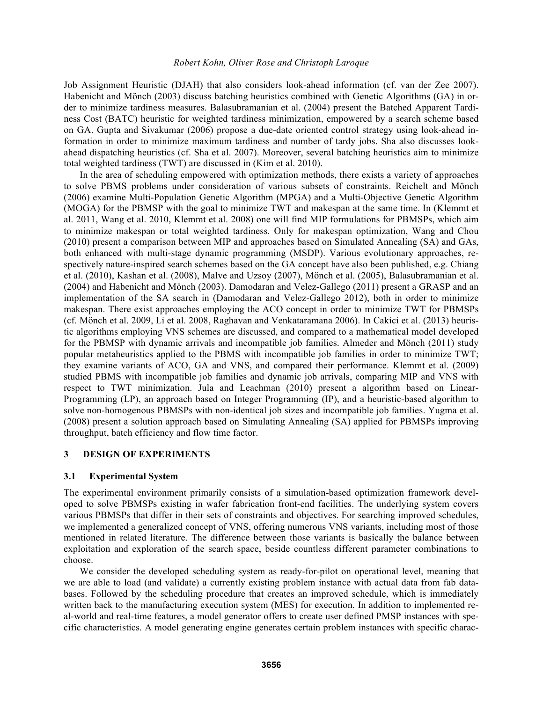Job Assignment Heuristic (DJAH) that also considers look-ahead information (cf. van der Zee 2007). Habenicht and Mönch (2003) discuss batching heuristics combined with Genetic Algorithms (GA) in order to minimize tardiness measures. Balasubramanian et al. (2004) present the Batched Apparent Tardiness Cost (BATC) heuristic for weighted tardiness minimization, empowered by a search scheme based on GA. Gupta and Sivakumar (2006) propose a due-date oriented control strategy using look-ahead information in order to minimize maximum tardiness and number of tardy jobs. Sha also discusses lookahead dispatching heuristics (cf. Sha et al. 2007). Moreover, several batching heuristics aim to minimize total weighted tardiness (TWT) are discussed in (Kim et al. 2010).

In the area of scheduling empowered with optimization methods, there exists a variety of approaches to solve PBMS problems under consideration of various subsets of constraints. Reichelt and Mönch (2006) examine Multi-Population Genetic Algorithm (MPGA) and a Multi-Objective Genetic Algorithm (MOGA) for the PBMSP with the goal to minimize TWT and makespan at the same time. In (Klemmt et al. 2011, Wang et al. 2010, Klemmt et al. 2008) one will find MIP formulations for PBMSPs, which aim to minimize makespan or total weighted tardiness. Only for makespan optimization, Wang and Chou (2010) present a comparison between MIP and approaches based on Simulated Annealing (SA) and GAs, both enhanced with multi-stage dynamic programming (MSDP). Various evolutionary approaches, respectively nature-inspired search schemes based on the GA concept have also been published, e.g. Chiang et al. (2010), Kashan et al. (2008), Malve and Uzsoy (2007), Mönch et al. (2005), Balasubramanian et al. (2004) and Habenicht and Mönch (2003). Damodaran and Velez-Gallego (2011) present a GRASP and an implementation of the SA search in (Damodaran and Velez-Gallego 2012), both in order to minimize makespan. There exist approaches employing the ACO concept in order to minimize TWT for PBMSPs (cf. Mönch et al. 2009, Li et al. 2008, Raghavan and Venkataramana 2006). In Cakici et al. (2013) heuristic algorithms employing VNS schemes are discussed, and compared to a mathematical model developed for the PBMSP with dynamic arrivals and incompatible job families. Almeder and Mönch (2011) study popular metaheuristics applied to the PBMS with incompatible job families in order to minimize TWT; they examine variants of ACO, GA and VNS, and compared their performance. Klemmt et al. (2009) studied PBMS with incompatible job families and dynamic job arrivals, comparing MIP and VNS with respect to TWT minimization. Jula and Leachman (2010) present a algorithm based on Linear-Programming (LP), an approach based on Integer Programming (IP), and a heuristic-based algorithm to solve non-homogenous PBMSPs with non-identical job sizes and incompatible job families. Yugma et al. (2008) present a solution approach based on Simulating Annealing (SA) applied for PBMSPs improving throughput, batch efficiency and flow time factor.

## **3 DESIGN OF EXPERIMENTS**

## **3.1 Experimental System**

The experimental environment primarily consists of a simulation-based optimization framework developed to solve PBMSPs existing in wafer fabrication front-end facilities. The underlying system covers various PBMSPs that differ in their sets of constraints and objectives. For searching improved schedules, we implemented a generalized concept of VNS, offering numerous VNS variants, including most of those mentioned in related literature. The difference between those variants is basically the balance between exploitation and exploration of the search space, beside countless different parameter combinations to choose.

We consider the developed scheduling system as ready-for-pilot on operational level, meaning that we are able to load (and validate) a currently existing problem instance with actual data from fab databases. Followed by the scheduling procedure that creates an improved schedule, which is immediately written back to the manufacturing execution system (MES) for execution. In addition to implemented real-world and real-time features, a model generator offers to create user defined PMSP instances with specific characteristics. A model generating engine generates certain problem instances with specific charac-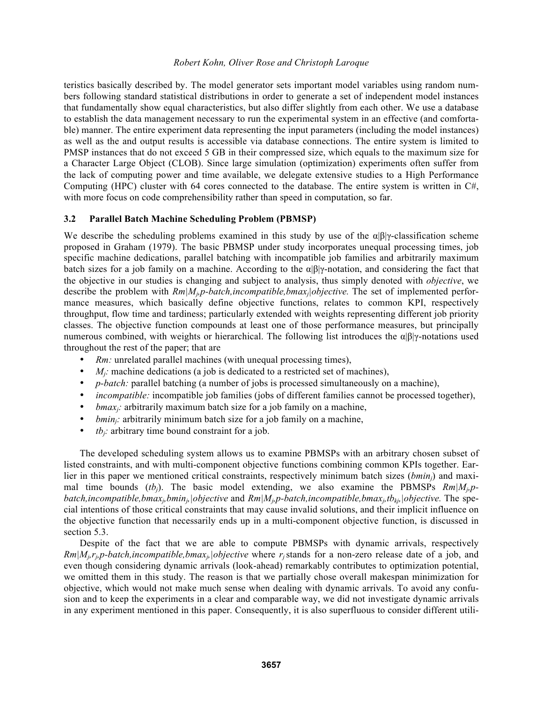teristics basically described by. The model generator sets important model variables using random numbers following standard statistical distributions in order to generate a set of independent model instances that fundamentally show equal characteristics, but also differ slightly from each other. We use a database to establish the data management necessary to run the experimental system in an effective (and comfortable) manner. The entire experiment data representing the input parameters (including the model instances) as well as the and output results is accessible via database connections. The entire system is limited to PMSP instances that do not exceed 5 GB in their compressed size, which equals to the maximum size for a Character Large Object (CLOB). Since large simulation (optimization) experiments often suffer from the lack of computing power and time available, we delegate extensive studies to a High Performance Computing (HPC) cluster with 64 cores connected to the database. The entire system is written in C#, with more focus on code comprehensibility rather than speed in computation, so far.

# **3.2 Parallel Batch Machine Scheduling Problem (PBMSP)**

We describe the scheduling problems examined in this study by use of the  $\alpha|\beta|\gamma$ -classification scheme proposed in Graham (1979). The basic PBMSP under study incorporates unequal processing times, job specific machine dedications, parallel batching with incompatible job families and arbitrarily maximum batch sizes for a job family on a machine. According to the  $\alpha|\beta|\gamma$ -notation, and considering the fact that the objective in our studies is changing and subject to analysis, thus simply denoted with *objective*, we describe the problem with *Rm|Mj,p-batch,incompatible,bmaxj|objective.* The set of implemented performance measures, which basically define objective functions, relates to common KPI, respectively throughput, flow time and tardiness; particularly extended with weights representing different job priority classes. The objective function compounds at least one of those performance measures, but principally numerous combined, with weights or hierarchical. The following list introduces the α|β|γ-notations used throughout the rest of the paper; that are

- *Rm:* unrelated parallel machines (with unequal processing times),
- *M<sub>i</sub>*: machine dedications (a job is dedicated to a restricted set of machines),
- *p-batch:* parallel batching (a number of jobs is processed simultaneously on a machine),
- *incompatible:* incompatible job families (jobs of different families cannot be processed together),
- *bmax<sub>i</sub>*: arbitrarily maximum batch size for a job family on a machine,
- *bminj:* arbitrarily minimum batch size for a job family on a machine,
- $tb_i$ : arbitrary time bound constraint for a job.

The developed scheduling system allows us to examine PBMSPs with an arbitrary chosen subset of listed constraints, and with multi-component objective functions combining common KPIs together. Earlier in this paper we mentioned critical constraints, respectively minimum batch sizes (*bminj*) and maximal time bounds (*tbj*). The basic model extending, we also examine the PBMSPs *Rm|Mj,pbatch,incompatible,bmax<sub>i</sub>,bmin<sub>i</sub>,|objective and*  $Rm|M_i,p$ *-batch,incompatible,bmax<sub>i</sub>,tb<sub>ki</sub>,|objective. The spe*cial intentions of those critical constraints that may cause invalid solutions, and their implicit influence on the objective function that necessarily ends up in a multi-component objective function, is discussed in section 5.3.

Despite of the fact that we are able to compute PBMSPs with dynamic arrivals, respectively  $Rm|M_{ij}r_{ij}p-batch,incompatible, bmax_{ij}|objective$  where  $r_j$  stands for a non-zero release date of a job, and even though considering dynamic arrivals (look-ahead) remarkably contributes to optimization potential, we omitted them in this study. The reason is that we partially chose overall makespan minimization for objective, which would not make much sense when dealing with dynamic arrivals. To avoid any confusion and to keep the experiments in a clear and comparable way, we did not investigate dynamic arrivals in any experiment mentioned in this paper. Consequently, it is also superfluous to consider different utili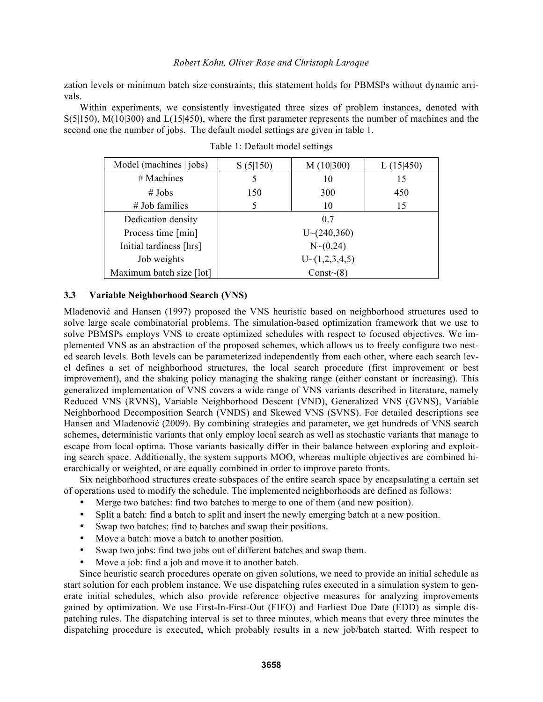zation levels or minimum batch size constraints; this statement holds for PBMSPs without dynamic arrivals.

Within experiments, we consistently investigated three sizes of problem instances, denoted with S(5|150), M(10|300) and L(15|450), where the first parameter represents the number of machines and the second one the number of jobs. The default model settings are given in table 1.

| Model (machines   jobs)  | S(5 150)           | M(10 300) | L $(15 450)$ |  |  |
|--------------------------|--------------------|-----------|--------------|--|--|
| # Machines               | 10                 |           | 15           |  |  |
| $#$ Jobs                 | 150                | 300       | 450          |  |  |
| # Job families           | 10                 |           | 15           |  |  |
| Dedication density       | 0.7                |           |              |  |  |
| Process time [min]       | $U\sim(240,360)$   |           |              |  |  |
| Initial tardiness [hrs]  | $N \sim (0, 24)$   |           |              |  |  |
| Job weights              | $U\sim(1,2,3,4,5)$ |           |              |  |  |
| Maximum batch size [lot] | Const(8)           |           |              |  |  |

Table 1: Default model settings

## **3.3 Variable Neighborhood Search (VNS)**

Mladenović and Hansen (1997) proposed the VNS heuristic based on neighborhood structures used to solve large scale combinatorial problems. The simulation-based optimization framework that we use to solve PBMSPs employs VNS to create optimized schedules with respect to focused objectives. We implemented VNS as an abstraction of the proposed schemes, which allows us to freely configure two nested search levels. Both levels can be parameterized independently from each other, where each search level defines a set of neighborhood structures, the local search procedure (first improvement or best improvement), and the shaking policy managing the shaking range (either constant or increasing). This generalized implementation of VNS covers a wide range of VNS variants described in literature, namely Reduced VNS (RVNS), Variable Neighborhood Descent (VND), Generalized VNS (GVNS), Variable Neighborhood Decomposition Search (VNDS) and Skewed VNS (SVNS). For detailed descriptions see Hansen and Mladenović (2009). By combining strategies and parameter, we get hundreds of VNS search schemes, deterministic variants that only employ local search as well as stochastic variants that manage to escape from local optima. Those variants basically differ in their balance between exploring and exploiting search space. Additionally, the system supports MOO, whereas multiple objectives are combined hierarchically or weighted, or are equally combined in order to improve pareto fronts.

Six neighborhood structures create subspaces of the entire search space by encapsulating a certain set of operations used to modify the schedule. The implemented neighborhoods are defined as follows:

- Merge two batches: find two batches to merge to one of them (and new position).
- Split a batch: find a batch to split and insert the newly emerging batch at a new position.
- Swap two batches: find to batches and swap their positions.
- Move a batch: move a batch to another position.
- Swap two jobs: find two jobs out of different batches and swap them.
- Move a job: find a job and move it to another batch.

Since heuristic search procedures operate on given solutions, we need to provide an initial schedule as start solution for each problem instance. We use dispatching rules executed in a simulation system to generate initial schedules, which also provide reference objective measures for analyzing improvements gained by optimization. We use First-In-First-Out (FIFO) and Earliest Due Date (EDD) as simple dispatching rules. The dispatching interval is set to three minutes, which means that every three minutes the dispatching procedure is executed, which probably results in a new job/batch started. With respect to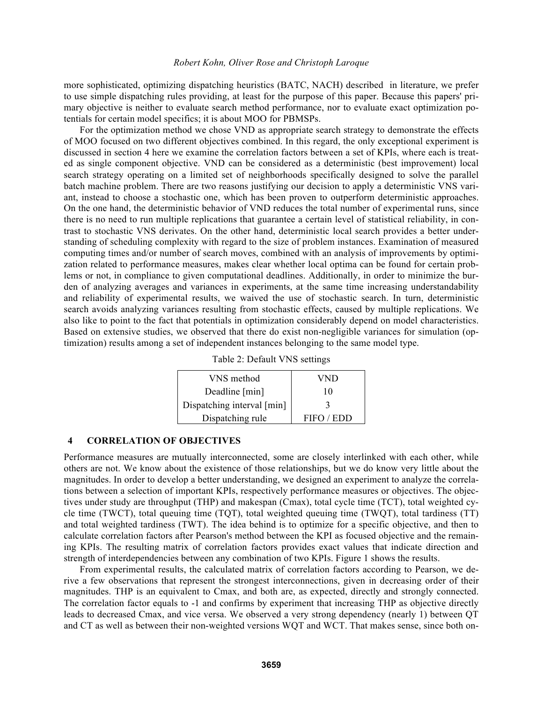more sophisticated, optimizing dispatching heuristics (BATC, NACH) described in literature, we prefer to use simple dispatching rules providing, at least for the purpose of this paper. Because this papers' primary objective is neither to evaluate search method performance, nor to evaluate exact optimization potentials for certain model specifics; it is about MOO for PBMSPs.

For the optimization method we chose VND as appropriate search strategy to demonstrate the effects of MOO focused on two different objectives combined. In this regard, the only exceptional experiment is discussed in section 4 here we examine the correlation factors between a set of KPIs, where each is treated as single component objective. VND can be considered as a deterministic (best improvement) local search strategy operating on a limited set of neighborhoods specifically designed to solve the parallel batch machine problem. There are two reasons justifying our decision to apply a deterministic VNS variant, instead to choose a stochastic one, which has been proven to outperform deterministic approaches. On the one hand, the deterministic behavior of VND reduces the total number of experimental runs, since there is no need to run multiple replications that guarantee a certain level of statistical reliability, in contrast to stochastic VNS derivates. On the other hand, deterministic local search provides a better understanding of scheduling complexity with regard to the size of problem instances. Examination of measured computing times and/or number of search moves, combined with an analysis of improvements by optimization related to performance measures, makes clear whether local optima can be found for certain problems or not, in compliance to given computational deadlines. Additionally, in order to minimize the burden of analyzing averages and variances in experiments, at the same time increasing understandability and reliability of experimental results, we waived the use of stochastic search. In turn, deterministic search avoids analyzing variances resulting from stochastic effects, caused by multiple replications. We also like to point to the fact that potentials in optimization considerably depend on model characteristics. Based on extensive studies, we observed that there do exist non-negligible variances for simulation (optimization) results among a set of independent instances belonging to the same model type.

|  | Table 2: Default VNS settings |  |  |
|--|-------------------------------|--|--|
|  |                               |  |  |

| VNS method                 | VND        |  |  |  |
|----------------------------|------------|--|--|--|
| Deadline [min]             | 10         |  |  |  |
| Dispatching interval [min] | 3          |  |  |  |
| Dispatching rule           | FIFO / EDD |  |  |  |

## **4 CORRELATION OF OBJECTIVES**

Performance measures are mutually interconnected, some are closely interlinked with each other, while others are not. We know about the existence of those relationships, but we do know very little about the magnitudes. In order to develop a better understanding, we designed an experiment to analyze the correlations between a selection of important KPIs, respectively performance measures or objectives. The objectives under study are throughput (THP) and makespan (Cmax), total cycle time (TCT), total weighted cycle time (TWCT), total queuing time (TQT), total weighted queuing time (TWQT), total tardiness (TT) and total weighted tardiness (TWT). The idea behind is to optimize for a specific objective, and then to calculate correlation factors after Pearson's method between the KPI as focused objective and the remaining KPIs. The resulting matrix of correlation factors provides exact values that indicate direction and strength of interdependencies between any combination of two KPIs. Figure 1 shows the results.

From experimental results, the calculated matrix of correlation factors according to Pearson, we derive a few observations that represent the strongest interconnections, given in decreasing order of their magnitudes. THP is an equivalent to Cmax, and both are, as expected, directly and strongly connected. The correlation factor equals to -1 and confirms by experiment that increasing THP as objective directly leads to decreased Cmax, and vice versa. We observed a very strong dependency (nearly 1) between QT and CT as well as between their non-weighted versions WQT and WCT. That makes sense, since both on-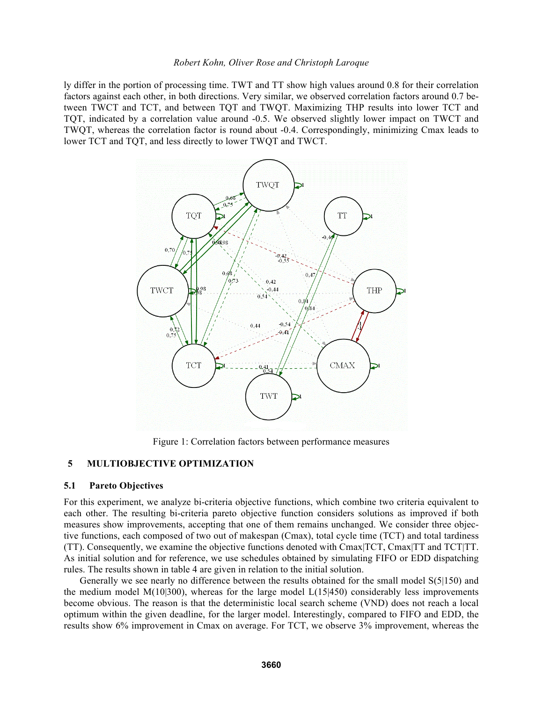ly differ in the portion of processing time. TWT and TT show high values around 0.8 for their correlation factors against each other, in both directions. Very similar, we observed correlation factors around 0.7 between TWCT and TCT, and between TQT and TWQT. Maximizing THP results into lower TCT and TQT, indicated by a correlation value around -0.5. We observed slightly lower impact on TWCT and TWQT, whereas the correlation factor is round about -0.4. Correspondingly, minimizing Cmax leads to lower TCT and TQT, and less directly to lower TWQT and TWCT.



Figure 1: Correlation factors between performance measures

## **5 MULTIOBJECTIVE OPTIMIZATION**

#### **5.1 Pareto Objectives**

For this experiment, we analyze bi-criteria objective functions, which combine two criteria equivalent to each other. The resulting bi-criteria pareto objective function considers solutions as improved if both measures show improvements, accepting that one of them remains unchanged. We consider three objective functions, each composed of two out of makespan (Cmax), total cycle time (TCT) and total tardiness (TT). Consequently, we examine the objective functions denoted with Cmax|TCT, Cmax|TT and TCT|TT. As initial solution and for reference, we use schedules obtained by simulating FIFO or EDD dispatching rules. The results shown in table 4 are given in relation to the initial solution.

Generally we see nearly no difference between the results obtained for the small model S(5|150) and the medium model  $M(10|300)$ , whereas for the large model  $L(15|450)$  considerably less improvements become obvious. The reason is that the deterministic local search scheme (VND) does not reach a local optimum within the given deadline, for the larger model. Interestingly, compared to FIFO and EDD, the results show 6% improvement in Cmax on average. For TCT, we observe 3% improvement, whereas the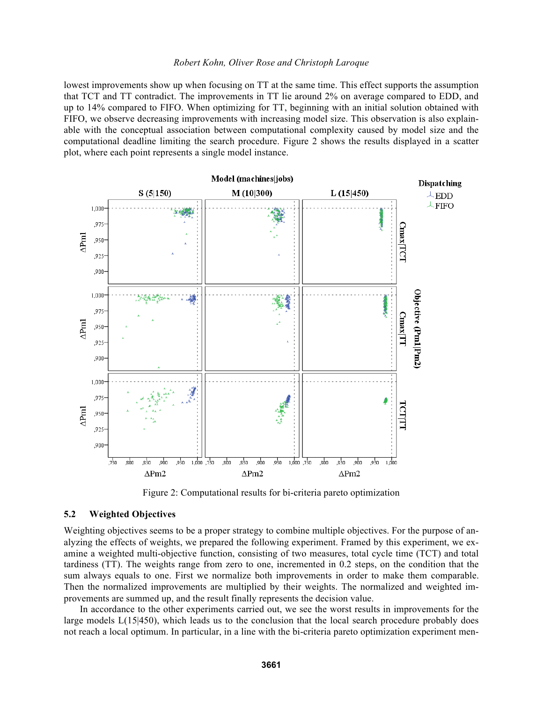lowest improvements show up when focusing on TT at the same time. This effect supports the assumption that TCT and TT contradict. The improvements in TT lie around 2% on average compared to EDD, and up to 14% compared to FIFO. When optimizing for TT, beginning with an initial solution obtained with FIFO, we observe decreasing improvements with increasing model size. This observation is also explainable with the conceptual association between computational complexity caused by model size and the computational deadline limiting the search procedure. Figure 2 shows the results displayed in a scatter plot, where each point represents a single model instance.



Figure 2: Computational results for bi-criteria pareto optimization

### **5.2 Weighted Objectives**

Weighting objectives seems to be a proper strategy to combine multiple objectives. For the purpose of analyzing the effects of weights, we prepared the following experiment. Framed by this experiment, we examine a weighted multi-objective function, consisting of two measures, total cycle time (TCT) and total tardiness (TT). The weights range from zero to one, incremented in 0.2 steps, on the condition that the sum always equals to one. First we normalize both improvements in order to make them comparable. Then the normalized improvements are multiplied by their weights. The normalized and weighted improvements are summed up, and the result finally represents the decision value.

In accordance to the other experiments carried out, we see the worst results in improvements for the large models L(15|450), which leads us to the conclusion that the local search procedure probably does not reach a local optimum. In particular, in a line with the bi-criteria pareto optimization experiment men-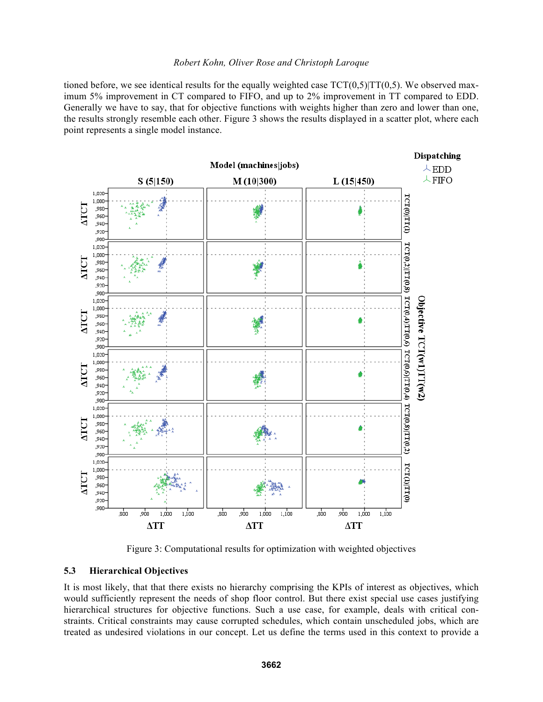tioned before, we see identical results for the equally weighted case  $TCT(0.5)|TT(0.5)$ . We observed maximum 5% improvement in CT compared to FIFO, and up to 2% improvement in TT compared to EDD. Generally we have to say, that for objective functions with weights higher than zero and lower than one, the results strongly resemble each other. Figure 3 shows the results displayed in a scatter plot, where each point represents a single model instance.



Figure 3: Computational results for optimization with weighted objectives

# **5.3 Hierarchical Objectives**

It is most likely, that that there exists no hierarchy comprising the KPIs of interest as objectives, which would sufficiently represent the needs of shop floor control. But there exist special use cases justifying hierarchical structures for objective functions. Such a use case, for example, deals with critical constraints. Critical constraints may cause corrupted schedules, which contain unscheduled jobs, which are treated as undesired violations in our concept. Let us define the terms used in this context to provide a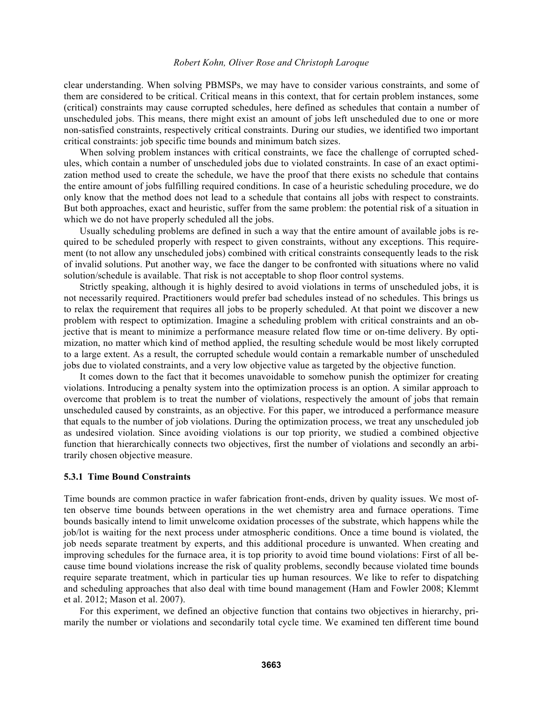clear understanding. When solving PBMSPs, we may have to consider various constraints, and some of them are considered to be critical. Critical means in this context, that for certain problem instances, some (critical) constraints may cause corrupted schedules, here defined as schedules that contain a number of unscheduled jobs. This means, there might exist an amount of jobs left unscheduled due to one or more non-satisfied constraints, respectively critical constraints. During our studies, we identified two important critical constraints: job specific time bounds and minimum batch sizes.

When solving problem instances with critical constraints, we face the challenge of corrupted schedules, which contain a number of unscheduled jobs due to violated constraints. In case of an exact optimization method used to create the schedule, we have the proof that there exists no schedule that contains the entire amount of jobs fulfilling required conditions. In case of a heuristic scheduling procedure, we do only know that the method does not lead to a schedule that contains all jobs with respect to constraints. But both approaches, exact and heuristic, suffer from the same problem: the potential risk of a situation in which we do not have properly scheduled all the jobs.

Usually scheduling problems are defined in such a way that the entire amount of available jobs is required to be scheduled properly with respect to given constraints, without any exceptions. This requirement (to not allow any unscheduled jobs) combined with critical constraints consequently leads to the risk of invalid solutions. Put another way, we face the danger to be confronted with situations where no valid solution/schedule is available. That risk is not acceptable to shop floor control systems.

Strictly speaking, although it is highly desired to avoid violations in terms of unscheduled jobs, it is not necessarily required. Practitioners would prefer bad schedules instead of no schedules. This brings us to relax the requirement that requires all jobs to be properly scheduled. At that point we discover a new problem with respect to optimization. Imagine a scheduling problem with critical constraints and an objective that is meant to minimize a performance measure related flow time or on-time delivery. By optimization, no matter which kind of method applied, the resulting schedule would be most likely corrupted to a large extent. As a result, the corrupted schedule would contain a remarkable number of unscheduled jobs due to violated constraints, and a very low objective value as targeted by the objective function.

It comes down to the fact that it becomes unavoidable to somehow punish the optimizer for creating violations. Introducing a penalty system into the optimization process is an option. A similar approach to overcome that problem is to treat the number of violations, respectively the amount of jobs that remain unscheduled caused by constraints, as an objective. For this paper, we introduced a performance measure that equals to the number of job violations. During the optimization process, we treat any unscheduled job as undesired violation. Since avoiding violations is our top priority, we studied a combined objective function that hierarchically connects two objectives, first the number of violations and secondly an arbitrarily chosen objective measure.

## **5.3.1 Time Bound Constraints**

Time bounds are common practice in wafer fabrication front-ends, driven by quality issues. We most often observe time bounds between operations in the wet chemistry area and furnace operations. Time bounds basically intend to limit unwelcome oxidation processes of the substrate, which happens while the job/lot is waiting for the next process under atmospheric conditions. Once a time bound is violated, the job needs separate treatment by experts, and this additional procedure is unwanted. When creating and improving schedules for the furnace area, it is top priority to avoid time bound violations: First of all because time bound violations increase the risk of quality problems, secondly because violated time bounds require separate treatment, which in particular ties up human resources. We like to refer to dispatching and scheduling approaches that also deal with time bound management (Ham and Fowler 2008; Klemmt et al. 2012; Mason et al. 2007).

For this experiment, we defined an objective function that contains two objectives in hierarchy, primarily the number or violations and secondarily total cycle time. We examined ten different time bound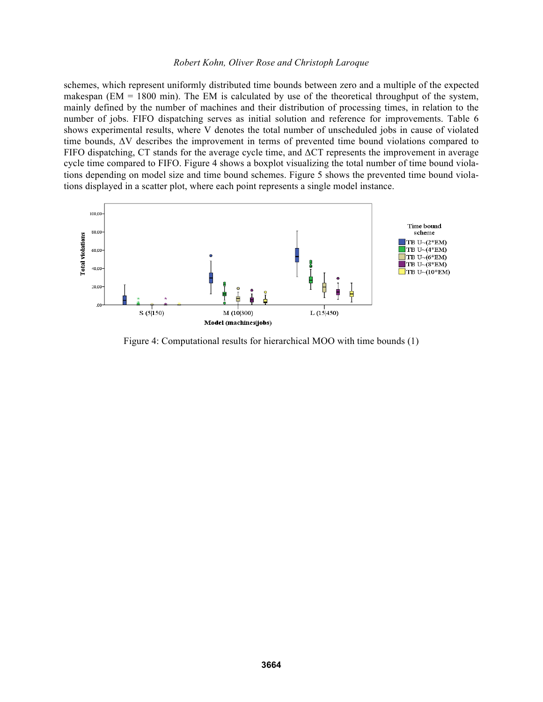schemes, which represent uniformly distributed time bounds between zero and a multiple of the expected makespan ( $EM = 1800$  min). The EM is calculated by use of the theoretical throughput of the system, mainly defined by the number of machines and their distribution of processing times, in relation to the number of jobs. FIFO dispatching serves as initial solution and reference for improvements. Table 6 shows experimental results, where V denotes the total number of unscheduled jobs in cause of violated time bounds, ΔV describes the improvement in terms of prevented time bound violations compared to FIFO dispatching, CT stands for the average cycle time, and  $\Delta$ CT represents the improvement in average cycle time compared to FIFO. Figure 4 shows a boxplot visualizing the total number of time bound violations depending on model size and time bound schemes. Figure 5 shows the prevented time bound violations displayed in a scatter plot, where each point represents a single model instance.



Figure 4: Computational results for hierarchical MOO with time bounds (1)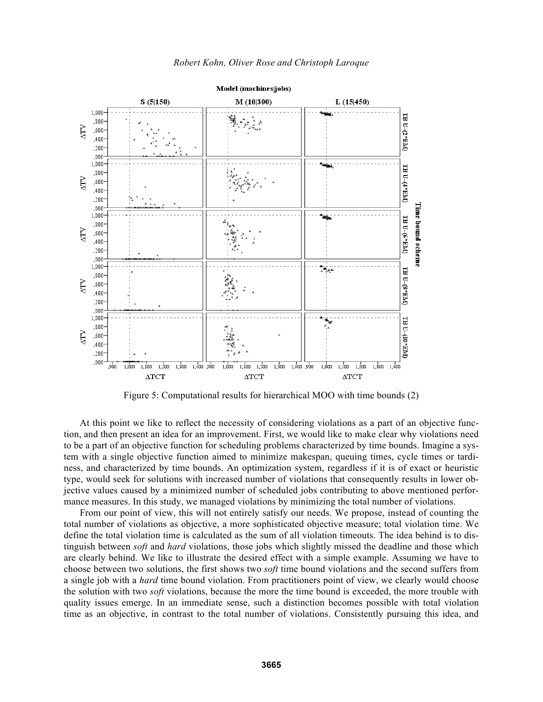



Figure 5: Computational results for hierarchical MOO with time bounds (2)

At this point we like to reflect the necessity of considering violations as a part of an objective function, and then present an idea for an improvement. First, we would like to make clear why violations need to be a part of an objective function for scheduling problems characterized by time bounds. Imagine a system with a single objective function aimed to minimize makespan, queuing times, cycle times or tardiness, and characterized by time bounds. An optimization system, regardless if it is of exact or heuristic type, would seek for solutions with increased number of violations that consequently results in lower objective values caused by a minimized number of scheduled jobs contributing to above mentioned performance measures. In this study, we managed violations by minimizing the total number of violations.

From our point of view, this will not entirely satisfy our needs. We propose, instead of counting the total number of violations as objective, a more sophisticated objective measure; total violation time. We define the total violation time is calculated as the sum of all violation timeouts. The idea behind is to distinguish between *soft* and *hard* violations, those jobs which slightly missed the deadline and those which are clearly behind. We like to illustrate the desired effect with a simple example. Assuming we have to choose between two solutions, the first shows two *soft* time bound violations and the second suffers from a single job with a *hard* time bound violation. From practitioners point of view, we clearly would choose the solution with two *soft* violations, because the more the time bound is exceeded, the more trouble with quality issues emerge. In an immediate sense, such a distinction becomes possible with total violation time as an objective, in contrast to the total number of violations. Consistently pursuing this idea, and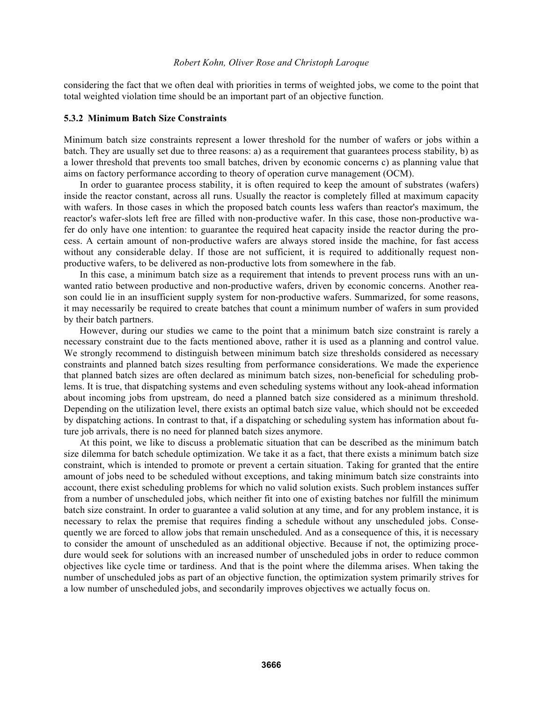considering the fact that we often deal with priorities in terms of weighted jobs, we come to the point that total weighted violation time should be an important part of an objective function.

## **5.3.2 Minimum Batch Size Constraints**

Minimum batch size constraints represent a lower threshold for the number of wafers or jobs within a batch. They are usually set due to three reasons: a) as a requirement that guarantees process stability, b) as a lower threshold that prevents too small batches, driven by economic concerns c) as planning value that aims on factory performance according to theory of operation curve management (OCM).

In order to guarantee process stability, it is often required to keep the amount of substrates (wafers) inside the reactor constant, across all runs. Usually the reactor is completely filled at maximum capacity with wafers. In those cases in which the proposed batch counts less wafers than reactor's maximum, the reactor's wafer-slots left free are filled with non-productive wafer. In this case, those non-productive wafer do only have one intention: to guarantee the required heat capacity inside the reactor during the process. A certain amount of non-productive wafers are always stored inside the machine, for fast access without any considerable delay. If those are not sufficient, it is required to additionally request nonproductive wafers, to be delivered as non-productive lots from somewhere in the fab.

In this case, a minimum batch size as a requirement that intends to prevent process runs with an unwanted ratio between productive and non-productive wafers, driven by economic concerns. Another reason could lie in an insufficient supply system for non-productive wafers. Summarized, for some reasons, it may necessarily be required to create batches that count a minimum number of wafers in sum provided by their batch partners.

However, during our studies we came to the point that a minimum batch size constraint is rarely a necessary constraint due to the facts mentioned above, rather it is used as a planning and control value. We strongly recommend to distinguish between minimum batch size thresholds considered as necessary constraints and planned batch sizes resulting from performance considerations. We made the experience that planned batch sizes are often declared as minimum batch sizes, non-beneficial for scheduling problems. It is true, that dispatching systems and even scheduling systems without any look-ahead information about incoming jobs from upstream, do need a planned batch size considered as a minimum threshold. Depending on the utilization level, there exists an optimal batch size value, which should not be exceeded by dispatching actions. In contrast to that, if a dispatching or scheduling system has information about future job arrivals, there is no need for planned batch sizes anymore.

At this point, we like to discuss a problematic situation that can be described as the minimum batch size dilemma for batch schedule optimization. We take it as a fact, that there exists a minimum batch size constraint, which is intended to promote or prevent a certain situation. Taking for granted that the entire amount of jobs need to be scheduled without exceptions, and taking minimum batch size constraints into account, there exist scheduling problems for which no valid solution exists. Such problem instances suffer from a number of unscheduled jobs, which neither fit into one of existing batches nor fulfill the minimum batch size constraint. In order to guarantee a valid solution at any time, and for any problem instance, it is necessary to relax the premise that requires finding a schedule without any unscheduled jobs. Consequently we are forced to allow jobs that remain unscheduled. And as a consequence of this, it is necessary to consider the amount of unscheduled as an additional objective. Because if not, the optimizing procedure would seek for solutions with an increased number of unscheduled jobs in order to reduce common objectives like cycle time or tardiness. And that is the point where the dilemma arises. When taking the number of unscheduled jobs as part of an objective function, the optimization system primarily strives for a low number of unscheduled jobs, and secondarily improves objectives we actually focus on.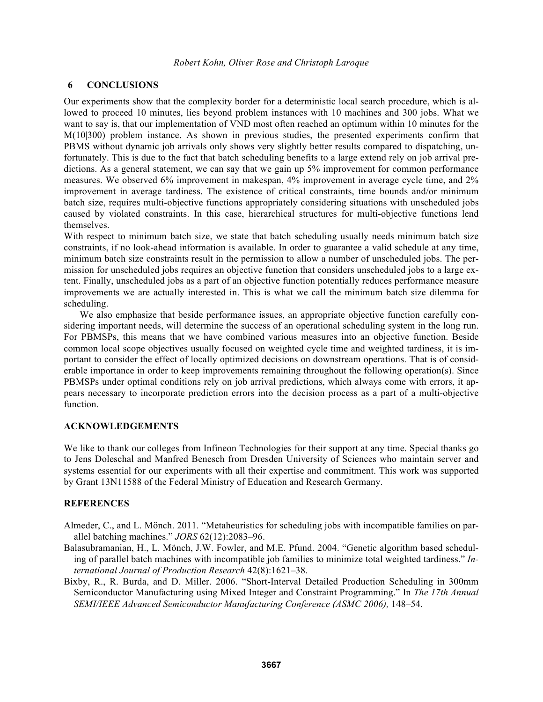# **6 CONCLUSIONS**

Our experiments show that the complexity border for a deterministic local search procedure, which is allowed to proceed 10 minutes, lies beyond problem instances with 10 machines and 300 jobs. What we want to say is, that our implementation of VND most often reached an optimum within 10 minutes for the M(10|300) problem instance. As shown in previous studies, the presented experiments confirm that PBMS without dynamic job arrivals only shows very slightly better results compared to dispatching, unfortunately. This is due to the fact that batch scheduling benefits to a large extend rely on job arrival predictions. As a general statement, we can say that we gain up 5% improvement for common performance measures. We observed 6% improvement in makespan, 4% improvement in average cycle time, and 2% improvement in average tardiness. The existence of critical constraints, time bounds and/or minimum batch size, requires multi-objective functions appropriately considering situations with unscheduled jobs caused by violated constraints. In this case, hierarchical structures for multi-objective functions lend themselves.

With respect to minimum batch size, we state that batch scheduling usually needs minimum batch size constraints, if no look-ahead information is available. In order to guarantee a valid schedule at any time, minimum batch size constraints result in the permission to allow a number of unscheduled jobs. The permission for unscheduled jobs requires an objective function that considers unscheduled jobs to a large extent. Finally, unscheduled jobs as a part of an objective function potentially reduces performance measure improvements we are actually interested in. This is what we call the minimum batch size dilemma for scheduling.

We also emphasize that beside performance issues, an appropriate objective function carefully considering important needs, will determine the success of an operational scheduling system in the long run. For PBMSPs, this means that we have combined various measures into an objective function. Beside common local scope objectives usually focused on weighted cycle time and weighted tardiness, it is important to consider the effect of locally optimized decisions on downstream operations. That is of considerable importance in order to keep improvements remaining throughout the following operation(s). Since PBMSPs under optimal conditions rely on job arrival predictions, which always come with errors, it appears necessary to incorporate prediction errors into the decision process as a part of a multi-objective function.

# **ACKNOWLEDGEMENTS**

We like to thank our colleges from Infineon Technologies for their support at any time. Special thanks go to Jens Doleschal and Manfred Benesch from Dresden University of Sciences who maintain server and systems essential for our experiments with all their expertise and commitment. This work was supported by Grant 13N11588 of the Federal Ministry of Education and Research Germany.

# **REFERENCES**

- Almeder, C., and L. Mönch. 2011. "Metaheuristics for scheduling jobs with incompatible families on parallel batching machines." *JORS* 62(12):2083–96.
- Balasubramanian, H., L. Mönch, J.W. Fowler, and M.E. Pfund. 2004. "Genetic algorithm based scheduling of parallel batch machines with incompatible job families to minimize total weighted tardiness." *International Journal of Production Research* 42(8):1621–38.
- Bixby, R., R. Burda, and D. Miller. 2006. "Short-Interval Detailed Production Scheduling in 300mm Semiconductor Manufacturing using Mixed Integer and Constraint Programming." In *The 17th Annual SEMI/IEEE Advanced Semiconductor Manufacturing Conference (ASMC 2006),* 148–54.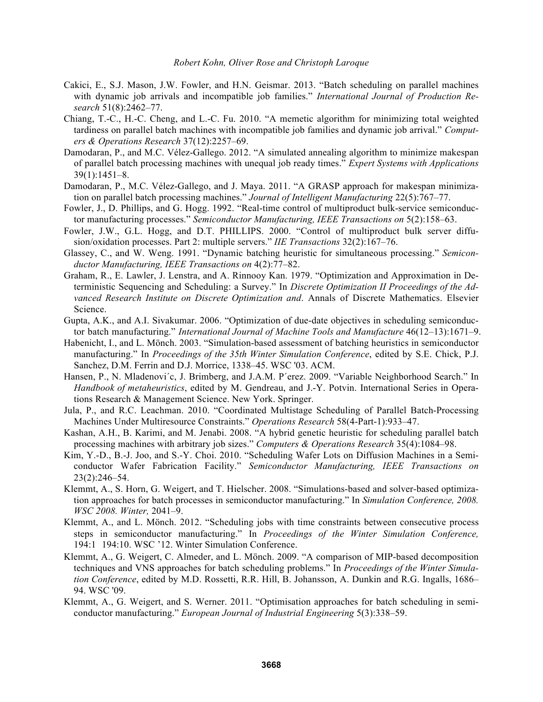- Cakici, E., S.J. Mason, J.W. Fowler, and H.N. Geismar. 2013. "Batch scheduling on parallel machines with dynamic job arrivals and incompatible job families." *International Journal of Production Research* 51(8):2462–77.
- Chiang, T.-C., H.-C. Cheng, and L.-C. Fu. 2010. "A memetic algorithm for minimizing total weighted tardiness on parallel batch machines with incompatible job families and dynamic job arrival." *Computers & Operations Research* 37(12):2257–69.
- Damodaran, P., and M.C. Vélez-Gallego. 2012. "A simulated annealing algorithm to minimize makespan of parallel batch processing machines with unequal job ready times." *Expert Systems with Applications*  39(1):1451–8.
- Damodaran, P., M.C. Vélez-Gallego, and J. Maya. 2011. "A GRASP approach for makespan minimization on parallel batch processing machines." *Journal of Intelligent Manufacturing* 22(5):767–77.
- Fowler, J., D. Phillips, and G. Hogg. 1992. "Real-time control of multiproduct bulk-service semiconductor manufacturing processes." *Semiconductor Manufacturing, IEEE Transactions on* 5(2):158–63.
- Fowler, J.W., G.L. Hogg, and D.T. PHILLIPS. 2000. "Control of multiproduct bulk server diffusion/oxidation processes. Part 2: multiple servers." *IIE Transactions* 32(2):167–76.
- Glassey, C., and W. Weng. 1991. "Dynamic batching heuristic for simultaneous processing." *Semiconductor Manufacturing, IEEE Transactions on* 4(2):77–82.
- Graham, R., E. Lawler, J. Lenstra, and A. Rinnooy Kan. 1979. "Optimization and Approximation in Deterministic Sequencing and Scheduling: a Survey." In *Discrete Optimization II Proceedings of the Advanced Research Institute on Discrete Optimization and*. Annals of Discrete Mathematics. Elsevier Science.
- Gupta, A.K., and A.I. Sivakumar. 2006. "Optimization of due-date objectives in scheduling semiconductor batch manufacturing." *International Journal of Machine Tools and Manufacture* 46(12–13):1671–9.
- Habenicht, I., and L. Mönch. 2003. "Simulation-based assessment of batching heuristics in semiconductor manufacturing." In *Proceedings of the 35th Winter Simulation Conference*, edited by S.E. Chick, P.J. Sanchez, D.M. Ferrin and D.J. Morrice, 1338–45. WSC '03. ACM.
- Hansen, P., N. Mladenovi´c, J. Brimberg, and J.A.M. P´erez. 2009. "Variable Neighborhood Search." In *Handbook of metaheuristics*, edited by M. Gendreau, and J.-Y. Potvin. International Series in Operations Research & Management Science. New York. Springer.
- Jula, P., and R.C. Leachman. 2010. "Coordinated Multistage Scheduling of Parallel Batch-Processing Machines Under Multiresource Constraints." *Operations Research* 58(4-Part-1):933–47.
- Kashan, A.H., B. Karimi, and M. Jenabi. 2008. "A hybrid genetic heuristic for scheduling parallel batch processing machines with arbitrary job sizes." *Computers & Operations Research* 35(4):1084–98.
- Kim, Y.-D., B.-J. Joo, and S.-Y. Choi. 2010. "Scheduling Wafer Lots on Diffusion Machines in a Semiconductor Wafer Fabrication Facility." *Semiconductor Manufacturing, IEEE Transactions on*  23(2):246–54.
- Klemmt, A., S. Horn, G. Weigert, and T. Hielscher. 2008. "Simulations-based and solver-based optimization approaches for batch processes in semiconductor manufacturing." In *Simulation Conference, 2008. WSC 2008. Winter,* 2041–9.
- Klemmt, A., and L. Mönch. 2012. "Scheduling jobs with time constraints between consecutive process steps in semiconductor manufacturing." In *Proceedings of the Winter Simulation Conference,*  194:1 194:10. WSC '12. Winter Simulation Conference.
- Klemmt, A., G. Weigert, C. Almeder, and L. Mönch. 2009. "A comparison of MIP-based decomposition techniques and VNS approaches for batch scheduling problems." In *Proceedings of the Winter Simulation Conference*, edited by M.D. Rossetti, R.R. Hill, B. Johansson, A. Dunkin and R.G. Ingalls, 1686– 94. WSC '09.
- Klemmt, A., G. Weigert, and S. Werner. 2011. "Optimisation approaches for batch scheduling in semiconductor manufacturing." *European Journal of Industrial Engineering* 5(3):338–59.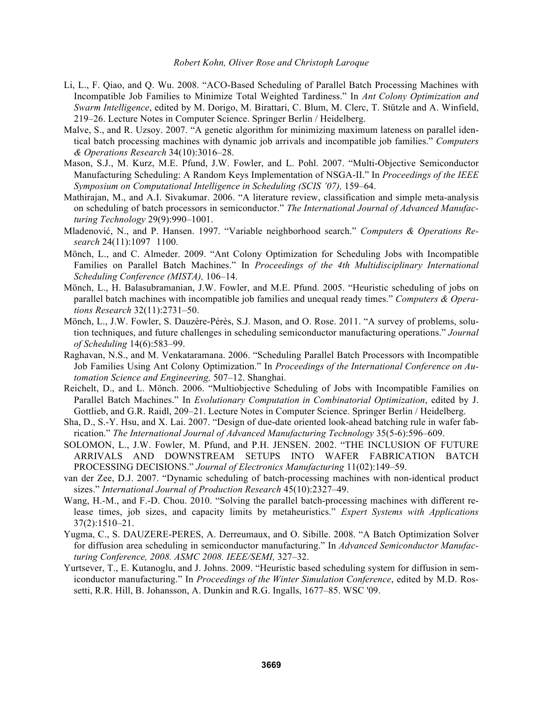- Li, L., F. Qiao, and Q. Wu. 2008. "ACO-Based Scheduling of Parallel Batch Processing Machines with Incompatible Job Families to Minimize Total Weighted Tardiness." In *Ant Colony Optimization and Swarm Intelligence*, edited by M. Dorigo, M. Birattari, C. Blum, M. Clerc, T. Stützle and A. Winfield, 219–26. Lecture Notes in Computer Science. Springer Berlin / Heidelberg.
- Malve, S., and R. Uzsoy. 2007. "A genetic algorithm for minimizing maximum lateness on parallel identical batch processing machines with dynamic job arrivals and incompatible job families." *Computers & Operations Research* 34(10):3016–28.
- Mason, S.J., M. Kurz, M.E. Pfund, J.W. Fowler, and L. Pohl. 2007. "Multi-Objective Semiconductor Manufacturing Scheduling: A Random Keys Implementation of NSGA-II." In *Proceedings of the IEEE Symposium on Computational Intelligence in Scheduling (SCIS '07),* 159–64.
- Mathirajan, M., and A.I. Sivakumar. 2006. "A literature review, classification and simple meta-analysis on scheduling of batch processors in semiconductor." *The International Journal of Advanced Manufacturing Technology* 29(9):990–1001.
- Mladenović, N., and P. Hansen. 1997. "Variable neighborhood search." *Computers & Operations Research* 24(11):1097 1100.
- Mönch, L., and C. Almeder. 2009. "Ant Colony Optimization for Scheduling Jobs with Incompatible Families on Parallel Batch Machines." In *Proceedings of the 4th Multidisciplinary International Scheduling Conference (MISTA),* 106–14.
- Mönch, L., H. Balasubramanian, J.W. Fowler, and M.E. Pfund. 2005. "Heuristic scheduling of jobs on parallel batch machines with incompatible job families and unequal ready times." *Computers & Operations Research* 32(11):2731–50.
- Mönch, L., J.W. Fowler, S. Dauzère-Pérès, S.J. Mason, and O. Rose. 2011. "A survey of problems, solution techniques, and future challenges in scheduling semiconductor manufacturing operations." *Journal of Scheduling* 14(6):583–99.
- Raghavan, N.S., and M. Venkataramana. 2006. "Scheduling Parallel Batch Processors with Incompatible Job Families Using Ant Colony Optimization." In *Proceedings of the International Conference on Automation Science and Engineering,* 507–12. Shanghai.
- Reichelt, D., and L. Mönch. 2006. "Multiobjective Scheduling of Jobs with Incompatible Families on Parallel Batch Machines." In *Evolutionary Computation in Combinatorial Optimization*, edited by J. Gottlieb, and G.R. Raidl, 209–21. Lecture Notes in Computer Science. Springer Berlin / Heidelberg.
- Sha, D., S.-Y. Hsu, and X. Lai. 2007. "Design of due-date oriented look-ahead batching rule in wafer fabrication." *The International Journal of Advanced Manufacturing Technology* 35(5-6):596–609.
- SOLOMON, L., J.W. Fowler, M. Pfund, and P.H. JENSEN. 2002. "THE INCLUSION OF FUTURE ARRIVALS AND DOWNSTREAM SETUPS INTO WAFER FABRICATION BATCH PROCESSING DECISIONS." *Journal of Electronics Manufacturing* 11(02):149–59.
- van der Zee, D.J. 2007. "Dynamic scheduling of batch-processing machines with non-identical product sizes." *International Journal of Production Research* 45(10):2327–49.
- Wang, H.-M., and F.-D. Chou. 2010. "Solving the parallel batch-processing machines with different release times, job sizes, and capacity limits by metaheuristics." *Expert Systems with Applications*  37(2):1510–21.
- Yugma, C., S. DAUZERE-PERES, A. Derreumaux, and O. Sibille. 2008. "A Batch Optimization Solver for diffusion area scheduling in semiconductor manufacturing." In *Advanced Semiconductor Manufacturing Conference, 2008. ASMC 2008. IEEE/SEMI,* 327–32.
- Yurtsever, T., E. Kutanoglu, and J. Johns. 2009. "Heuristic based scheduling system for diffusion in semiconductor manufacturing." In *Proceedings of the Winter Simulation Conference*, edited by M.D. Rossetti, R.R. Hill, B. Johansson, A. Dunkin and R.G. Ingalls, 1677–85. WSC '09.